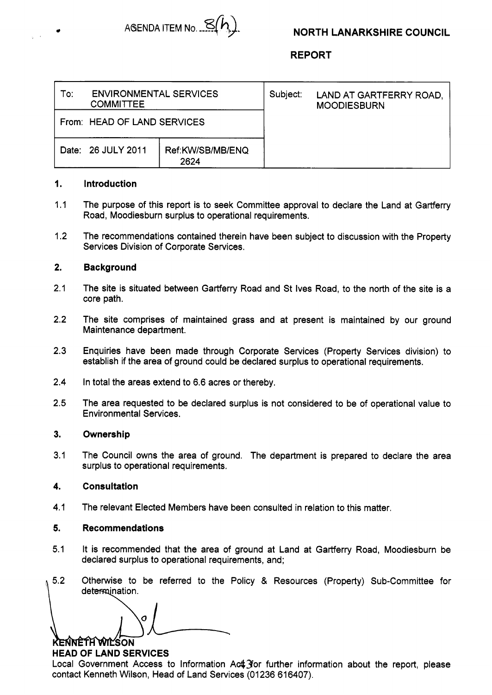

**REPORT** 

| To:                         | <b>ENVIRONMENTAL SERVICES</b><br><b>COMMITTEE</b> |                          |  | LAND AT GARTFERRY ROAD,<br><b>MOODIESBURN</b> |
|-----------------------------|---------------------------------------------------|--------------------------|--|-----------------------------------------------|
| From: HEAD OF LAND SERVICES |                                                   |                          |  |                                               |
|                             | Date: 26 JULY 2011                                | Ref:KW/SB/MB/ENQ<br>2624 |  |                                               |

### **1. Introduction**

- **1.1**  The purpose of this report is to seek Committee approval to declare the Land at Gartferry Road, Moodiesburn surplus to operational requirements.
- **1.2**  The recommendations contained therein have been subject to discussion with the Property Services Division of Corporate Services.

## **2. Background**

- **2.1**  The site is situated between Gartferry Road and St Ives Road, to the north of the site is a core path.
- **2.2**  The site comprises of maintained grass and at present is maintained by our ground Maintenance department.
- **2.3**  Enquiries have been made through Corporate Services (Property Services division) to establish if the area of ground could be declared surplus to operational requirements.
- **2.4**  In total the areas extend to **6.6** acres or thereby.
- **2.5**  The area requested to be declared surplus is not considered to be of operational value to Environmental Services.

### **3. Ownership**

**3.1**  The Council owns the area of ground. The department is prepared to declare the area surplus to operational requirements.

### **4. Consultation**

**4.1**  The relevant Elected Members have been consulted in relation to this matter.

### **5. Recommendations**

- **5.1**  It is recommended that the area of ground at Land at Gartferry Road, Moodiesburn be declared surplus to operational requirements, and;
- $5.2$ Othetwise to be referred to the Policy & Resources (Property) Sub-Committee for determination.

O KENNETH WILSON

# **HEAD OF LAND SERVICES**

Local Government Access to Information Act *for further information about the report*, please contact Kenneth Wilson, Head of Land Services (01236 616407).